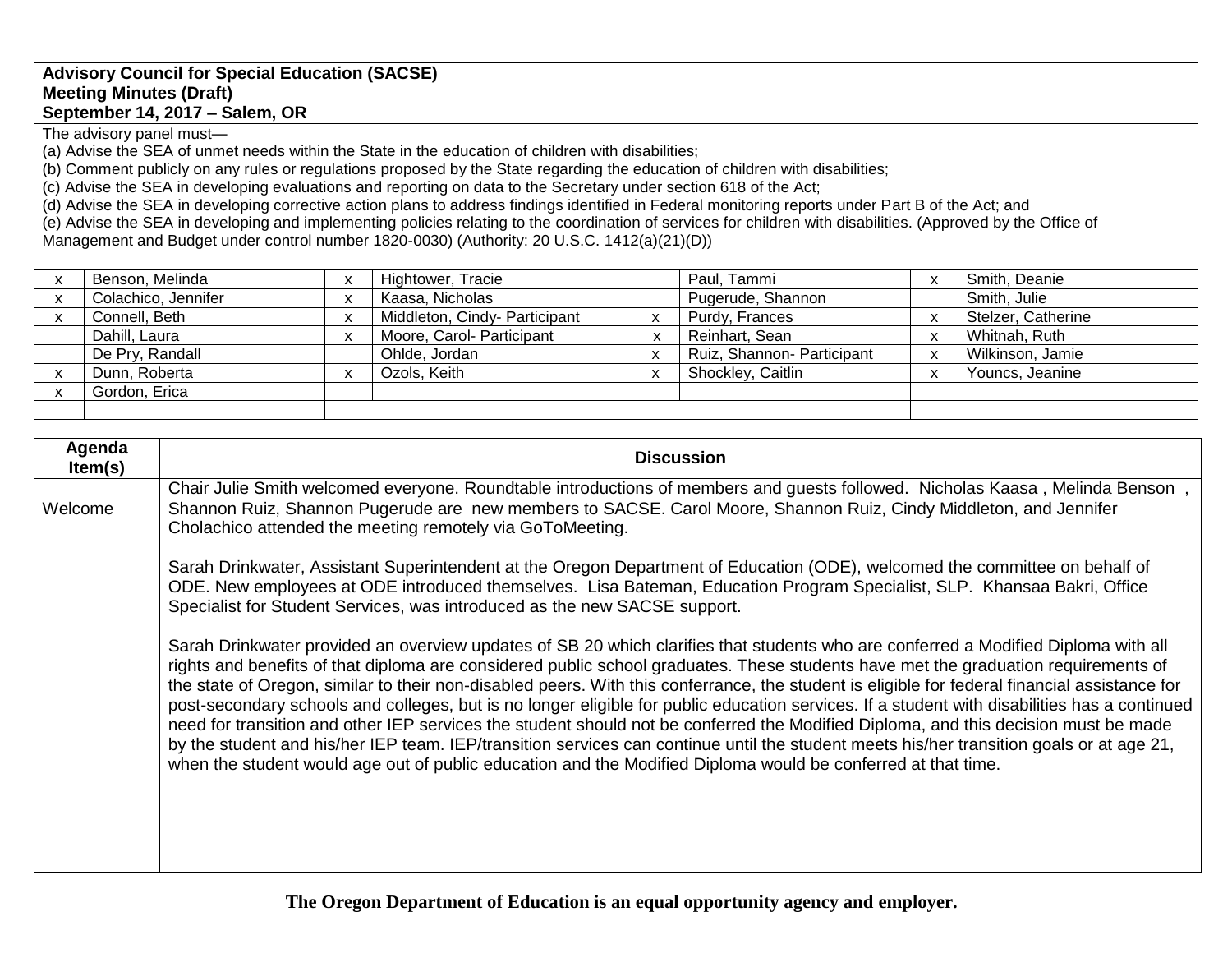## **Advisory Council for Special Education (SACSE) Meeting Minutes (Draft) September 14, 2017 – Salem, OR**

The advisory panel must—

(a) Advise the SEA of unmet needs within the State in the education of children with disabilities;

(b) Comment publicly on any rules or regulations proposed by the State regarding the education of children with disabilities;

(c) Advise the SEA in developing evaluations and reporting on data to the Secretary under section 618 of the Act;

(d) Advise the SEA in developing corrective action plans to address findings identified in Federal monitoring reports under Part B of the Act; and

(e) Advise the SEA in developing and implementing policies relating to the coordination of services for children with disabilities. (Approved by the Office of Management and Budget under control number 1820-0030) (Authority: 20 U.S.C. 1412(a)(21)(D))

| Benson, Melinda     | $\checkmark$<br>$\lambda$             | Hightower, Tracie             |              | Paul, Tammi                |              | Smith, Deanie      |
|---------------------|---------------------------------------|-------------------------------|--------------|----------------------------|--------------|--------------------|
| Colachico, Jennifer | $\mathbf{v}$<br>$\lambda$             | Kaasa, Nicholas               |              | Pugerude, Shannon          |              | Smith, Julie       |
| Connell, Beth       | X                                     | Middleton, Cindy- Participant |              | Purdy, Frances             |              | Stelzer, Catherine |
| Dahill, Laura       | X                                     | Moore, Carol- Participant     | $\mathbf{v}$ | Reinhart, Sean             |              | Whitnah, Ruth      |
| De Pry, Randall     |                                       | Ohlde, Jordan                 |              | Ruiz, Shannon- Participant | $\mathbf{v}$ | Wilkinson, Jamie   |
| Dunn, Roberta       | $\overline{\phantom{a}}$<br>$\lambda$ | Ozols, Keith                  |              | Shockley, Caitlin          |              | Youncs, Jeanine    |
| Gordon, Erica       |                                       |                               |              |                            |              |                    |
|                     |                                       |                               |              |                            |              |                    |

| Agenda<br>Item(s) | <b>Discussion</b>                                                                                                                                                                                                                                                                                                                                                                                                                                                                                                                                                                                                                                                                                                                                                                                                                                                                                                                                                            |
|-------------------|------------------------------------------------------------------------------------------------------------------------------------------------------------------------------------------------------------------------------------------------------------------------------------------------------------------------------------------------------------------------------------------------------------------------------------------------------------------------------------------------------------------------------------------------------------------------------------------------------------------------------------------------------------------------------------------------------------------------------------------------------------------------------------------------------------------------------------------------------------------------------------------------------------------------------------------------------------------------------|
| Welcome           | Chair Julie Smith welcomed everyone. Roundtable introductions of members and guests followed. Nicholas Kaasa, Melinda Benson<br>Shannon Ruiz, Shannon Pugerude are new members to SACSE. Carol Moore, Shannon Ruiz, Cindy Middleton, and Jennifer<br>Cholachico attended the meeting remotely via GoToMeeting.                                                                                                                                                                                                                                                                                                                                                                                                                                                                                                                                                                                                                                                               |
|                   | Sarah Drinkwater, Assistant Superintendent at the Oregon Department of Education (ODE), welcomed the committee on behalf of<br>ODE. New employees at ODE introduced themselves. Lisa Bateman, Education Program Specialist, SLP. Khansaa Bakri, Office<br>Specialist for Student Services, was introduced as the new SACSE support.                                                                                                                                                                                                                                                                                                                                                                                                                                                                                                                                                                                                                                          |
|                   | Sarah Drinkwater provided an overview updates of SB 20 which clarifies that students who are conferred a Modified Diploma with all<br>rights and benefits of that diploma are considered public school graduates. These students have met the graduation requirements of<br>the state of Oregon, similar to their non-disabled peers. With this conferrance, the student is eligible for federal financial assistance for<br>post-secondary schools and colleges, but is no longer eligible for public education services. If a student with disabilities has a continued<br>need for transition and other IEP services the student should not be conferred the Modified Diploma, and this decision must be made<br>by the student and his/her IEP team. IEP/transition services can continue until the student meets his/her transition goals or at age 21,<br>when the student would age out of public education and the Modified Diploma would be conferred at that time. |

**The Oregon Department of Education is an equal opportunity agency and employer.**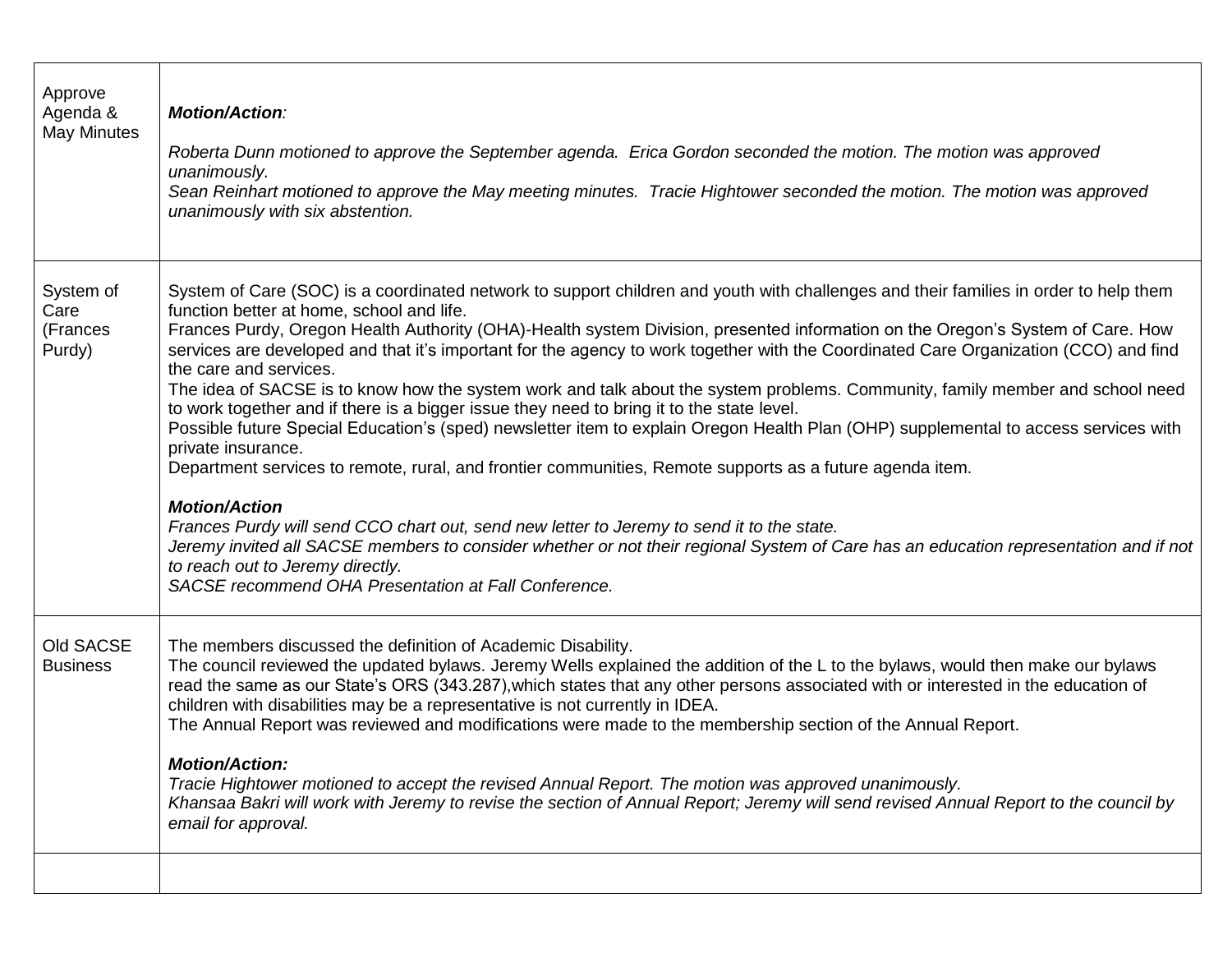| Approve<br>Agenda &<br><b>May Minutes</b> | <b>Motion/Action:</b><br>Roberta Dunn motioned to approve the September agenda. Erica Gordon seconded the motion. The motion was approved<br>unanimously.<br>Sean Reinhart motioned to approve the May meeting minutes. Tracie Hightower seconded the motion. The motion was approved<br>unanimously with six abstention.                                                                                                                                                                                                                                                                                                                                                                                                                                                                                                                                                                                                                                                                                                                                                                                                                                                                                                                                                                                                                             |
|-------------------------------------------|-------------------------------------------------------------------------------------------------------------------------------------------------------------------------------------------------------------------------------------------------------------------------------------------------------------------------------------------------------------------------------------------------------------------------------------------------------------------------------------------------------------------------------------------------------------------------------------------------------------------------------------------------------------------------------------------------------------------------------------------------------------------------------------------------------------------------------------------------------------------------------------------------------------------------------------------------------------------------------------------------------------------------------------------------------------------------------------------------------------------------------------------------------------------------------------------------------------------------------------------------------------------------------------------------------------------------------------------------------|
| System of<br>Care<br>(Frances<br>Purdy)   | System of Care (SOC) is a coordinated network to support children and youth with challenges and their families in order to help them<br>function better at home, school and life.<br>Frances Purdy, Oregon Health Authority (OHA)-Health system Division, presented information on the Oregon's System of Care. How<br>services are developed and that it's important for the agency to work together with the Coordinated Care Organization (CCO) and find<br>the care and services.<br>The idea of SACSE is to know how the system work and talk about the system problems. Community, family member and school need<br>to work together and if there is a bigger issue they need to bring it to the state level.<br>Possible future Special Education's (sped) newsletter item to explain Oregon Health Plan (OHP) supplemental to access services with<br>private insurance.<br>Department services to remote, rural, and frontier communities, Remote supports as a future agenda item.<br><b>Motion/Action</b><br>Frances Purdy will send CCO chart out, send new letter to Jeremy to send it to the state.<br>Jeremy invited all SACSE members to consider whether or not their regional System of Care has an education representation and if not<br>to reach out to Jeremy directly.<br>SACSE recommend OHA Presentation at Fall Conference. |
| Old SACSE<br><b>Business</b>              | The members discussed the definition of Academic Disability.<br>The council reviewed the updated bylaws. Jeremy Wells explained the addition of the L to the bylaws, would then make our bylaws<br>read the same as our State's ORS (343.287), which states that any other persons associated with or interested in the education of<br>children with disabilities may be a representative is not currently in IDEA.<br>The Annual Report was reviewed and modifications were made to the membership section of the Annual Report.<br><b>Motion/Action:</b><br>Tracie Hightower motioned to accept the revised Annual Report. The motion was approved unanimously.<br>Khansaa Bakri will work with Jeremy to revise the section of Annual Report; Jeremy will send revised Annual Report to the council by<br>email for approval.                                                                                                                                                                                                                                                                                                                                                                                                                                                                                                                     |
|                                           |                                                                                                                                                                                                                                                                                                                                                                                                                                                                                                                                                                                                                                                                                                                                                                                                                                                                                                                                                                                                                                                                                                                                                                                                                                                                                                                                                       |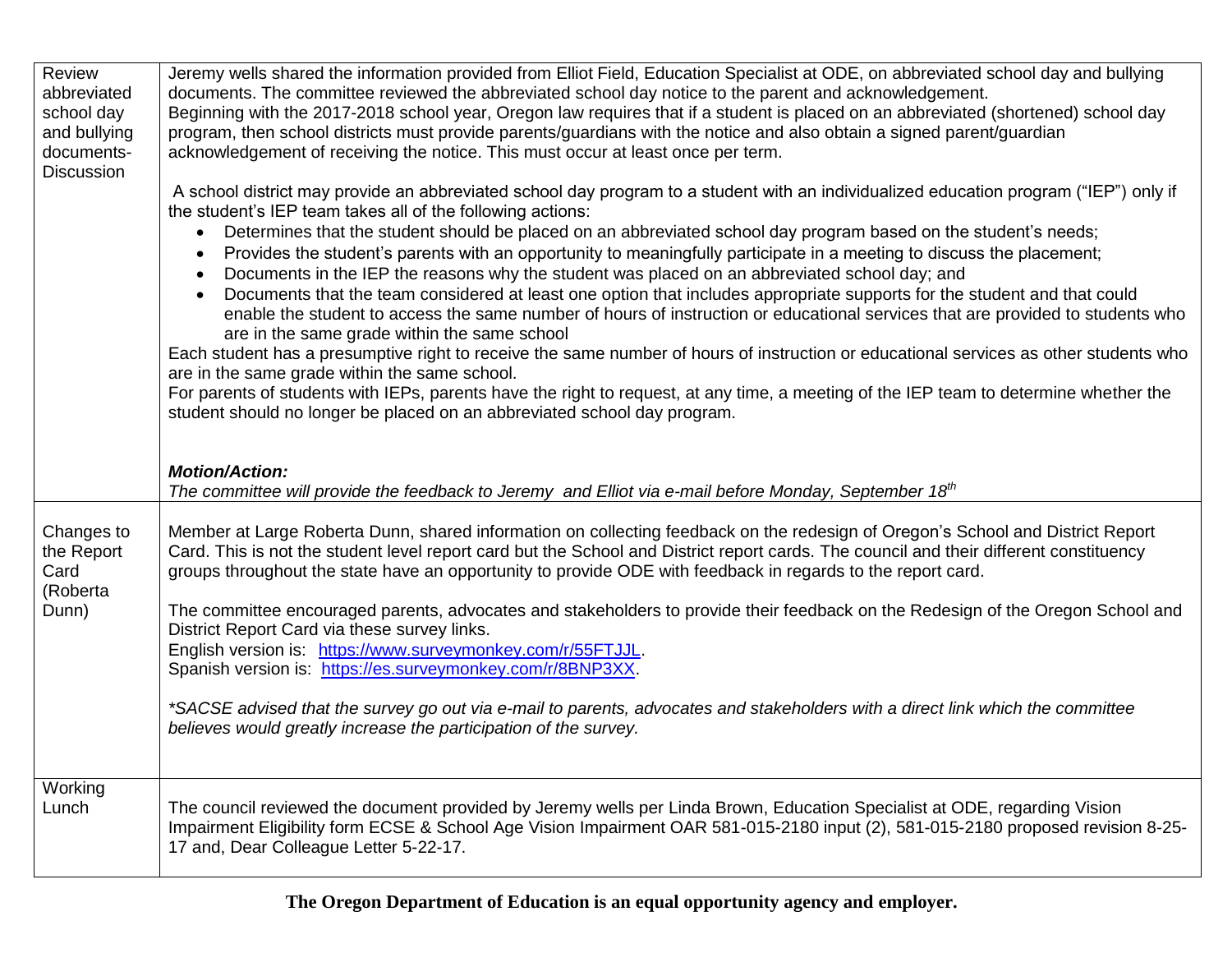| Review            | Jeremy wells shared the information provided from Elliot Field, Education Specialist at ODE, on abbreviated school day and bullying                                                                 |
|-------------------|-----------------------------------------------------------------------------------------------------------------------------------------------------------------------------------------------------|
| abbreviated       | documents. The committee reviewed the abbreviated school day notice to the parent and acknowledgement.                                                                                              |
| school day        | Beginning with the 2017-2018 school year, Oregon law requires that if a student is placed on an abbreviated (shortened) school day                                                                  |
| and bullying      | program, then school districts must provide parents/guardians with the notice and also obtain a signed parent/guardian                                                                              |
| documents-        | acknowledgement of receiving the notice. This must occur at least once per term.                                                                                                                    |
| <b>Discussion</b> |                                                                                                                                                                                                     |
|                   | A school district may provide an abbreviated school day program to a student with an individualized education program ("IEP") only if<br>the student's IEP team takes all of the following actions: |
|                   | Determines that the student should be placed on an abbreviated school day program based on the student's needs;<br>$\bullet$                                                                        |
|                   | Provides the student's parents with an opportunity to meaningfully participate in a meeting to discuss the placement;<br>$\bullet$                                                                  |
|                   | Documents in the IEP the reasons why the student was placed on an abbreviated school day; and                                                                                                       |
|                   | Documents that the team considered at least one option that includes appropriate supports for the student and that could                                                                            |
|                   | enable the student to access the same number of hours of instruction or educational services that are provided to students who                                                                      |
|                   | are in the same grade within the same school                                                                                                                                                        |
|                   | Each student has a presumptive right to receive the same number of hours of instruction or educational services as other students who<br>are in the same grade within the same school.              |
|                   | For parents of students with IEPs, parents have the right to request, at any time, a meeting of the IEP team to determine whether the                                                               |
|                   | student should no longer be placed on an abbreviated school day program.                                                                                                                            |
|                   |                                                                                                                                                                                                     |
|                   |                                                                                                                                                                                                     |
|                   |                                                                                                                                                                                                     |
|                   | <b>Motion/Action:</b>                                                                                                                                                                               |
|                   | The committee will provide the feedback to Jeremy and Elliot via e-mail before Monday, September 18 <sup>th</sup>                                                                                   |
|                   |                                                                                                                                                                                                     |
|                   |                                                                                                                                                                                                     |
| Changes to        | Member at Large Roberta Dunn, shared information on collecting feedback on the redesign of Oregon's School and District Report                                                                      |
| the Report        | Card. This is not the student level report card but the School and District report cards. The council and their different constituency                                                              |
| Card              | groups throughout the state have an opportunity to provide ODE with feedback in regards to the report card.                                                                                         |
| (Roberta          |                                                                                                                                                                                                     |
| Dunn)             | The committee encouraged parents, advocates and stakeholders to provide their feedback on the Redesign of the Oregon School and                                                                     |
|                   | District Report Card via these survey links.                                                                                                                                                        |
|                   | English version is: https://www.surveymonkey.com/r/55FTJJL.                                                                                                                                         |
|                   | Spanish version is: https://es.surveymonkey.com/r/8BNP3XX.                                                                                                                                          |
|                   |                                                                                                                                                                                                     |
|                   | *SACSE advised that the survey go out via e-mail to parents, advocates and stakeholders with a direct link which the committee                                                                      |
|                   | believes would greatly increase the participation of the survey.                                                                                                                                    |
|                   |                                                                                                                                                                                                     |
|                   |                                                                                                                                                                                                     |
| Working           |                                                                                                                                                                                                     |
| Lunch             | The council reviewed the document provided by Jeremy wells per Linda Brown, Education Specialist at ODE, regarding Vision                                                                           |
|                   | Impairment Eligibility form ECSE & School Age Vision Impairment OAR 581-015-2180 input (2), 581-015-2180 proposed revision 8-25-<br>17 and, Dear Colleague Letter 5-22-17.                          |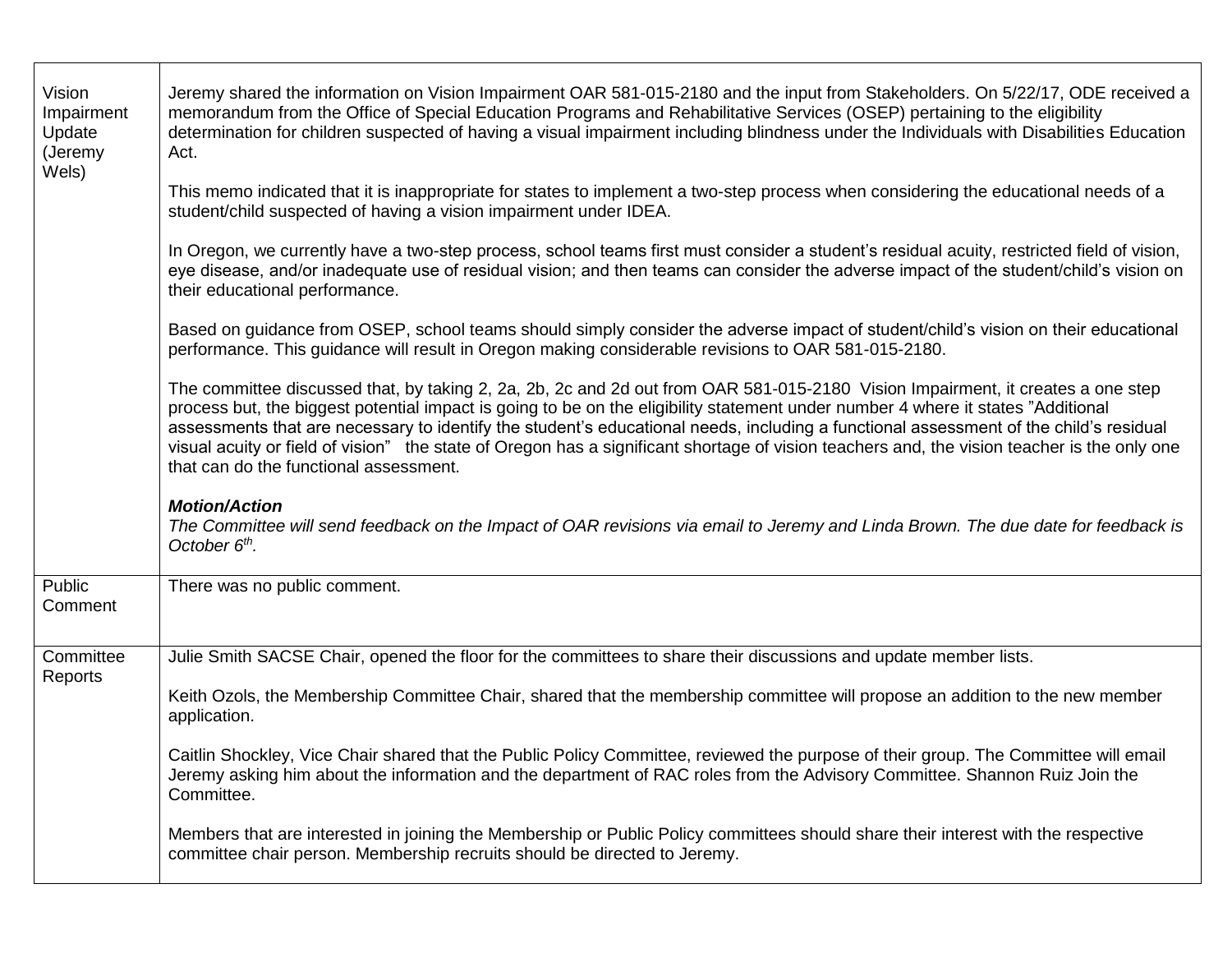| Vision<br>Impairment<br>Update<br>(Jeremy<br>Wels) | Jeremy shared the information on Vision Impairment OAR 581-015-2180 and the input from Stakeholders. On 5/22/17, ODE received a<br>memorandum from the Office of Special Education Programs and Rehabilitative Services (OSEP) pertaining to the eligibility<br>determination for children suspected of having a visual impairment including blindness under the Individuals with Disabilities Education<br>Act.                                                                                                                                                                                      |  |  |  |  |  |
|----------------------------------------------------|-------------------------------------------------------------------------------------------------------------------------------------------------------------------------------------------------------------------------------------------------------------------------------------------------------------------------------------------------------------------------------------------------------------------------------------------------------------------------------------------------------------------------------------------------------------------------------------------------------|--|--|--|--|--|
|                                                    | This memo indicated that it is inappropriate for states to implement a two-step process when considering the educational needs of a<br>student/child suspected of having a vision impairment under IDEA.                                                                                                                                                                                                                                                                                                                                                                                              |  |  |  |  |  |
|                                                    | In Oregon, we currently have a two-step process, school teams first must consider a student's residual acuity, restricted field of vision,<br>eye disease, and/or inadequate use of residual vision; and then teams can consider the adverse impact of the student/child's vision on<br>their educational performance.                                                                                                                                                                                                                                                                                |  |  |  |  |  |
|                                                    | Based on guidance from OSEP, school teams should simply consider the adverse impact of student/child's vision on their educational<br>performance. This guidance will result in Oregon making considerable revisions to OAR 581-015-2180.                                                                                                                                                                                                                                                                                                                                                             |  |  |  |  |  |
|                                                    | The committee discussed that, by taking 2, 2a, 2b, 2c and 2d out from OAR 581-015-2180 Vision Impairment, it creates a one step<br>process but, the biggest potential impact is going to be on the eligibility statement under number 4 where it states "Additional<br>assessments that are necessary to identify the student's educational needs, including a functional assessment of the child's residual<br>visual acuity or field of vision" the state of Oregon has a significant shortage of vision teachers and, the vision teacher is the only one<br>that can do the functional assessment. |  |  |  |  |  |
|                                                    | <b>Motion/Action</b><br>The Committee will send feedback on the Impact of OAR revisions via email to Jeremy and Linda Brown. The due date for feedback is<br>October $6th$ .                                                                                                                                                                                                                                                                                                                                                                                                                          |  |  |  |  |  |
| Public<br>Comment                                  | There was no public comment.                                                                                                                                                                                                                                                                                                                                                                                                                                                                                                                                                                          |  |  |  |  |  |
| Committee<br>Reports                               | Julie Smith SACSE Chair, opened the floor for the committees to share their discussions and update member lists.                                                                                                                                                                                                                                                                                                                                                                                                                                                                                      |  |  |  |  |  |
|                                                    | Keith Ozols, the Membership Committee Chair, shared that the membership committee will propose an addition to the new member<br>application.                                                                                                                                                                                                                                                                                                                                                                                                                                                          |  |  |  |  |  |
|                                                    | Caitlin Shockley, Vice Chair shared that the Public Policy Committee, reviewed the purpose of their group. The Committee will email<br>Jeremy asking him about the information and the department of RAC roles from the Advisory Committee. Shannon Ruiz Join the<br>Committee.                                                                                                                                                                                                                                                                                                                       |  |  |  |  |  |
|                                                    | Members that are interested in joining the Membership or Public Policy committees should share their interest with the respective<br>committee chair person. Membership recruits should be directed to Jeremy.                                                                                                                                                                                                                                                                                                                                                                                        |  |  |  |  |  |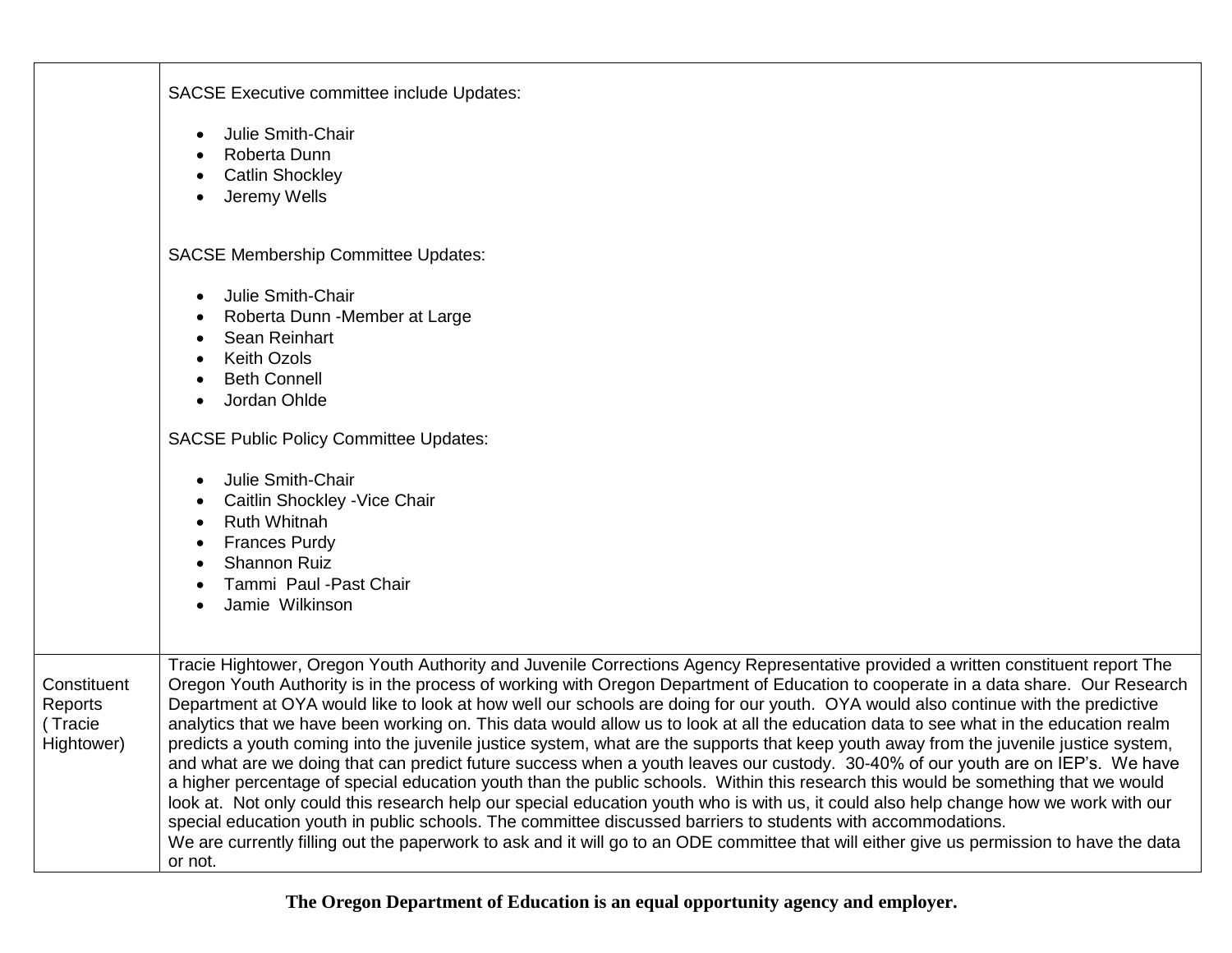|                                                 | <b>SACSE Executive committee include Updates:</b>                                                                                                                                                                                                                                                                                                                                                                                                                                                                                                                                                                                                                                                                                                                                                                                                                                                                                                                                                                                                                                                                                                                                                                                                                                                                                                                                          |  |  |
|-------------------------------------------------|--------------------------------------------------------------------------------------------------------------------------------------------------------------------------------------------------------------------------------------------------------------------------------------------------------------------------------------------------------------------------------------------------------------------------------------------------------------------------------------------------------------------------------------------------------------------------------------------------------------------------------------------------------------------------------------------------------------------------------------------------------------------------------------------------------------------------------------------------------------------------------------------------------------------------------------------------------------------------------------------------------------------------------------------------------------------------------------------------------------------------------------------------------------------------------------------------------------------------------------------------------------------------------------------------------------------------------------------------------------------------------------------|--|--|
|                                                 | Julie Smith-Chair<br>$\bullet$<br>Roberta Dunn<br><b>Catlin Shockley</b><br>$\bullet$<br>Jeremy Wells<br>$\bullet$                                                                                                                                                                                                                                                                                                                                                                                                                                                                                                                                                                                                                                                                                                                                                                                                                                                                                                                                                                                                                                                                                                                                                                                                                                                                         |  |  |
|                                                 | <b>SACSE Membership Committee Updates:</b>                                                                                                                                                                                                                                                                                                                                                                                                                                                                                                                                                                                                                                                                                                                                                                                                                                                                                                                                                                                                                                                                                                                                                                                                                                                                                                                                                 |  |  |
|                                                 | Julie Smith-Chair<br>$\bullet$<br>Roberta Dunn - Member at Large<br>Sean Reinhart<br><b>Keith Ozols</b><br>$\bullet$<br><b>Beth Connell</b><br>Jordan Ohlde<br><b>SACSE Public Policy Committee Updates:</b><br>Julie Smith-Chair<br>$\bullet$<br>Caitlin Shockley - Vice Chair<br><b>Ruth Whitnah</b><br>$\bullet$<br><b>Frances Purdy</b><br>٠<br><b>Shannon Ruiz</b><br>Tammi Paul - Past Chair<br>Jamie Wilkinson                                                                                                                                                                                                                                                                                                                                                                                                                                                                                                                                                                                                                                                                                                                                                                                                                                                                                                                                                                      |  |  |
| Constituent<br>Reports<br>(Tracie<br>Hightower) | Tracie Hightower, Oregon Youth Authority and Juvenile Corrections Agency Representative provided a written constituent report The<br>Oregon Youth Authority is in the process of working with Oregon Department of Education to cooperate in a data share. Our Research<br>Department at OYA would like to look at how well our schools are doing for our youth. OYA would also continue with the predictive<br>analytics that we have been working on. This data would allow us to look at all the education data to see what in the education realm<br>predicts a youth coming into the juvenile justice system, what are the supports that keep youth away from the juvenile justice system,<br>and what are we doing that can predict future success when a youth leaves our custody. 30-40% of our youth are on IEP's. We have<br>a higher percentage of special education youth than the public schools. Within this research this would be something that we would<br>look at. Not only could this research help our special education youth who is with us, it could also help change how we work with our<br>special education youth in public schools. The committee discussed barriers to students with accommodations.<br>We are currently filling out the paperwork to ask and it will go to an ODE committee that will either give us permission to have the data<br>or not. |  |  |

**The Oregon Department of Education is an equal opportunity agency and employer.**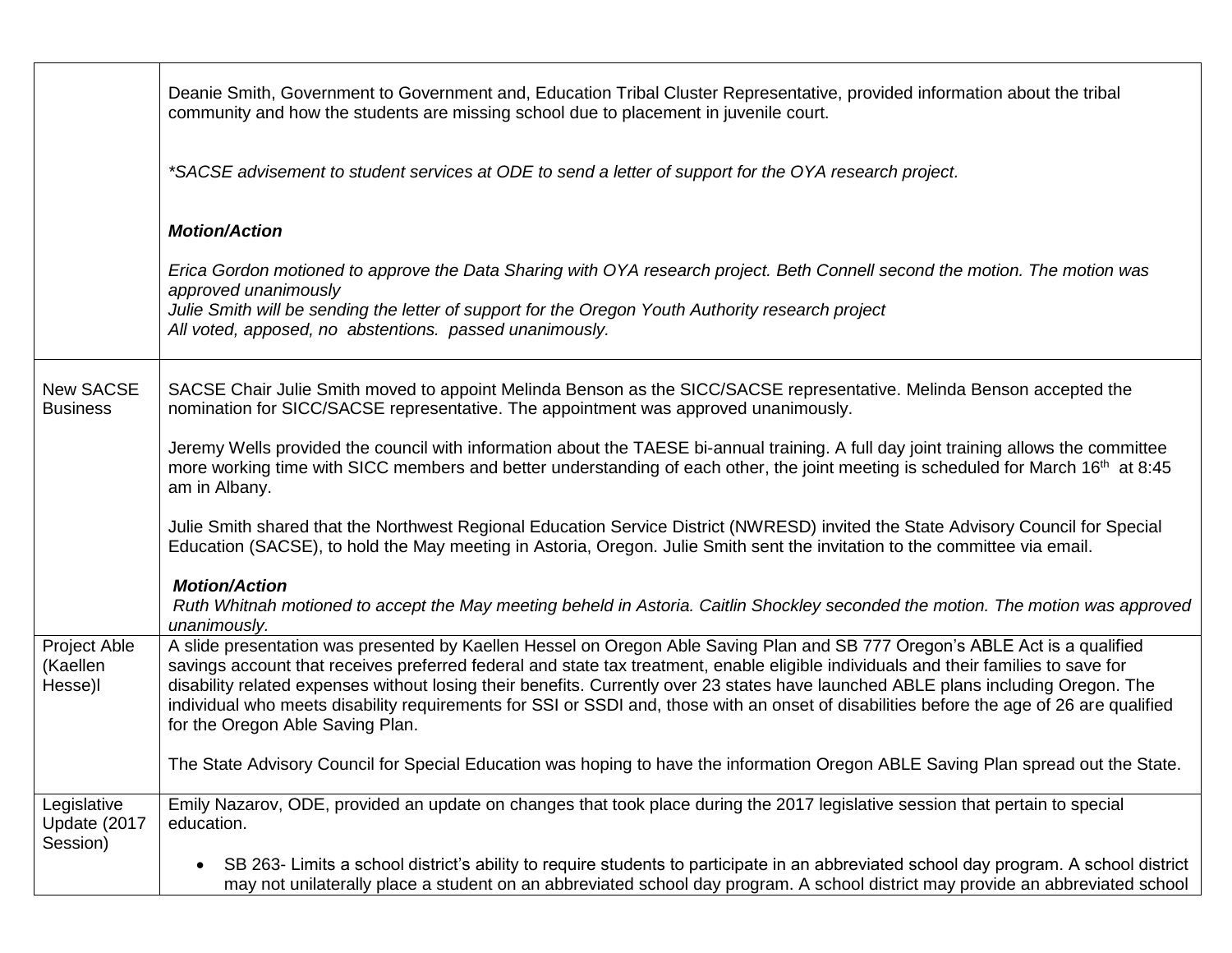|                                         | Deanie Smith, Government to Government and, Education Tribal Cluster Representative, provided information about the tribal<br>community and how the students are missing school due to placement in juvenile court.                                                                                                                                                                                                                                                                                                                                                                      |
|-----------------------------------------|------------------------------------------------------------------------------------------------------------------------------------------------------------------------------------------------------------------------------------------------------------------------------------------------------------------------------------------------------------------------------------------------------------------------------------------------------------------------------------------------------------------------------------------------------------------------------------------|
|                                         | *SACSE advisement to student services at ODE to send a letter of support for the OYA research project.                                                                                                                                                                                                                                                                                                                                                                                                                                                                                   |
|                                         | <b>Motion/Action</b>                                                                                                                                                                                                                                                                                                                                                                                                                                                                                                                                                                     |
|                                         | Erica Gordon motioned to approve the Data Sharing with OYA research project. Beth Connell second the motion. The motion was<br>approved unanimously<br>Julie Smith will be sending the letter of support for the Oregon Youth Authority research project<br>All voted, apposed, no abstentions. passed unanimously.                                                                                                                                                                                                                                                                      |
| <b>New SACSE</b><br><b>Business</b>     | SACSE Chair Julie Smith moved to appoint Melinda Benson as the SICC/SACSE representative. Melinda Benson accepted the<br>nomination for SICC/SACSE representative. The appointment was approved unanimously.                                                                                                                                                                                                                                                                                                                                                                             |
|                                         | Jeremy Wells provided the council with information about the TAESE bi-annual training. A full day joint training allows the committee<br>more working time with SICC members and better understanding of each other, the joint meeting is scheduled for March 16 <sup>th</sup> at 8:45<br>am in Albany.                                                                                                                                                                                                                                                                                  |
|                                         | Julie Smith shared that the Northwest Regional Education Service District (NWRESD) invited the State Advisory Council for Special<br>Education (SACSE), to hold the May meeting in Astoria, Oregon. Julie Smith sent the invitation to the committee via email.                                                                                                                                                                                                                                                                                                                          |
|                                         | <b>Motion/Action</b><br>Ruth Whitnah motioned to accept the May meeting beheld in Astoria. Caitlin Shockley seconded the motion. The motion was approved<br>unanimously.                                                                                                                                                                                                                                                                                                                                                                                                                 |
| Project Able<br>(Kaellen<br>Hesse)l     | A slide presentation was presented by Kaellen Hessel on Oregon Able Saving Plan and SB 777 Oregon's ABLE Act is a qualified<br>savings account that receives preferred federal and state tax treatment, enable eligible individuals and their families to save for<br>disability related expenses without losing their benefits. Currently over 23 states have launched ABLE plans including Oregon. The<br>individual who meets disability requirements for SSI or SSDI and, those with an onset of disabilities before the age of 26 are qualified<br>for the Oregon Able Saving Plan. |
|                                         | The State Advisory Council for Special Education was hoping to have the information Oregon ABLE Saving Plan spread out the State.                                                                                                                                                                                                                                                                                                                                                                                                                                                        |
| Legislative<br>Update (2017<br>Session) | Emily Nazarov, ODE, provided an update on changes that took place during the 2017 legislative session that pertain to special<br>education.                                                                                                                                                                                                                                                                                                                                                                                                                                              |
|                                         | SB 263- Limits a school district's ability to require students to participate in an abbreviated school day program. A school district<br>$\bullet$<br>may not unilaterally place a student on an abbreviated school day program. A school district may provide an abbreviated school                                                                                                                                                                                                                                                                                                     |